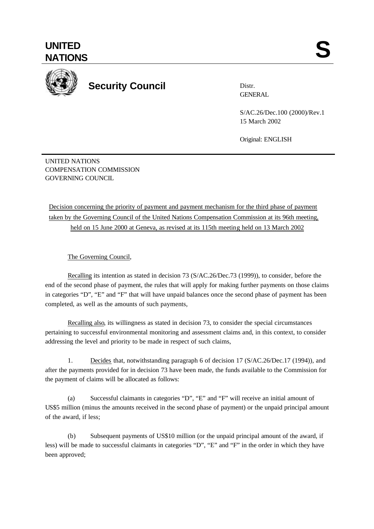## **UNITED** UNITED SANTIONS



## **Security Council**

Distr. **GENERAL** 

S/AC.26/Dec.100 (2000)/Rev.1 15 March 2002

Original: ENGLISH

UNITED NATIONS COMPENSATION COMMISSION GOVERNING COUNCIL

## Decision concerning the priority of payment and payment mechanism for the third phase of payment taken by the Governing Council of the United Nations Compensation Commission at its 96th meeting, held on 15 June 2000 at Geneva, as revised at its 115th meeting held on 13 March 2002

The Governing Council,

Recalling its intention as stated in decision 73 (S/AC.26/Dec.73 (1999)), to consider, before the end of the second phase of payment, the rules that will apply for making further payments on those claims in categories "D", "E" and "F" that will have unpaid balances once the second phase of payment has been completed, as well as the amounts of such payments,

Recalling also, its willingness as stated in decision 73, to consider the special circumstances pertaining to successful environmental monitoring and assessment claims and, in this context, to consider addressing the level and priority to be made in respect of such claims,

1. Decides that, notwithstanding paragraph 6 of decision 17 (S/AC.26/Dec.17 (1994)), and after the payments provided for in decision 73 have been made, the funds available to the Commission for the payment of claims will be allocated as follows:

(a) Successful claimants in categories "D", "E" and "F" will receive an initial amount of US\$5 million (minus the amounts received in the second phase of payment) or the unpaid principal amount of the award, if less;

(b) Subsequent payments of US\$10 million (or the unpaid principal amount of the award, if less) will be made to successful claimants in categories "D", "E" and "F" in the order in which they have been approved;